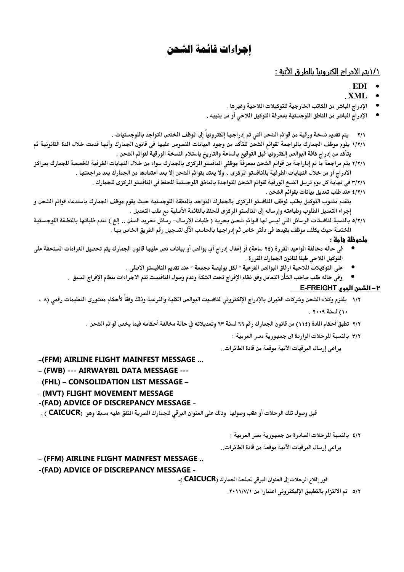# إجراءات قائمة الشحن

# <u> ١/١يتم الإدراج إلكترونيا بالطرق الآتية :</u>

# -EDI •

- -XML •
- الإدراج المباشر من المكاتب الخارجية للتوكيلات اللاحية وغيرها .
- الإدراج الباشر من الماطق اللوجستية بمعرفة التوكيل اللاحي أو من ينيبه .

٢/١ يتم تقديم نسخة ورقية من قوائم الشحن التي تم إدراجها إلكترونيا إلى الموظف الختص التواجد باللوجستيات .

- ١/٢/١ يقوم موظف الجمارك بالراجعة لقوائم الشحن للتأكد من وجود البيانات النصوص عليها في قانون الجمارك وأنها قدمت خلال الدة القانونية ثم يتأكد من إدراج كافة البوالص إلكترونيا قبل التوقيع بالساعة والتاريخ باستلام النسخة الورقية لقوائم الشحن .
- ٢/٢/١ يتم مراجعة ما تم إداراجة من قوائم الشحن بمعرفة موظفي المنافستو الركزى بالجمارك سواء من خلال النهايات الطرفية الخصصة للجمارك بمراكز الادراج أو من خلال النهايات الطرفية بالنافستو الركزى ، ولا يعتد بقوائم الشحن إلا بعد اعتمادها من الجمارك بعد مراجعتها .
	- ٣/٢/١ في نهاية كل يوم ترسل النسخ الورقية لقوائم الشحن المتواجدة بالناطق اللوجستية للحفظ في المنافستو الركزى للجمارك .
		- ٤/٢/١ عند طلب تعديل بيانات بقوائم الشحن .

يتقدم مندوب التوكيل بطلب لوظف النافستو الركزى بالجمارك التواجد بالنطقة اللوجستية حيث يقوم موظف الجمارك باستدعاء قوائم الشحن و إجراء التعديل المللوب وطباعته وإرساله إلى النافستو الركزى للحفظ بالقائمة الأصلية مع طلب التعديل .

٥/٢/١ بالنسبة لنافستات الرسائل التي ليس لها قـوائم شحـن بحريه ( طلبات الإرسال– رسائل تخريد السفن .. إلخ ) تقدم طلباتها بالنطـقة اللوجسـتية المختصة حيث يكلف موظف بقيدها في دفتر خاص ثم إدراجها بالحاسب الآلى لتسجيل رقم الطريق الخاص بها .

## ملحوظة هامة :

- -NO-7C+-s-'Qt-1\$-JKL-M53-@O-95-58-%-98-u%-=-GW=-%-o
OT-0ak-F7-6O-Wr-"-N( التوكيل الملاحى طبقا لقانون الجمارك المقررة .
	- على التوكيلات الملاحية ارفاق البوالص الفرعية " لكل بوليصة مجمعة " عند تقديم المنافيستو الاصلى .
	- وفي حاله طلب صاحب الشأن التعامل وفق نظام الإفراج تحت الشكة وعدم وصول النافيست تتم الاجراءات بنظام الإفراج السبق .

## ٢ – الشحن الحوم E-FREIGHT

- ١/٢ يلتزم وكلاء الشحن وشركات الطيران بالإدراج الإلكتروني لنافسيت البوالص الكلية والفرعية وذلك وفقا لأحكام منشوري التعليمات رقمي (٨ ، ۱۰) لسنة ۲۰۰۹ .
	- ٢/٢ تطبق أحكام المادة (١١٤) من قانون الجمارك رقم ٦٦ لسنة ٦٣ وتعديلاته في حالة مخالفة أحكامه فيما يخص قوائم الشحن .
		- ٣/٢ بالنسبة للرحلات الواردة الى جمهورية مصر العربية :

يراعي إرسال البرقيات الآتية موقعة من قادة الطائرات..

## -(FFM) AIRLINE FLIGHT MAINFEST MESSAGE ...

# - (FWB) --- AIRWAYBIL DATA MESSAGE ---

- -(FHL) CONSOLIDATION LIST MESSAGE –
- -(MVT) FLIGHT MOVEMENT MESSAGE

# -(FAD) ADVICE OF DISCREPANCY MESSAGE -

قبل وصول تلك الرحلات أو عقب وصولها وذلك على العنوان البرقي للجمارك الصرية التفق عليه مسبقا وهو (CAICUCR ) .

## ٤/٢ بالنسبة للرحلات الصادرة من جمهورية مصر العربية :

يراعي إرسال البرقيات الآتية موقعة من قادة الطائرات..

# - (FFM) AIRLINE FLIGHT MAINFEST MESSAGE..

## -(FAD) ADVICE OF DISCREPANCY MESSAGE -

فور إقلاع الرحلات إلى العنوان البرقي لملحة الجمارك (CAICUCR ).

٥/٢ - تم الالتزام بالتطبيق الإليكتروني اعتبارا من ٢٠١١/٧/١.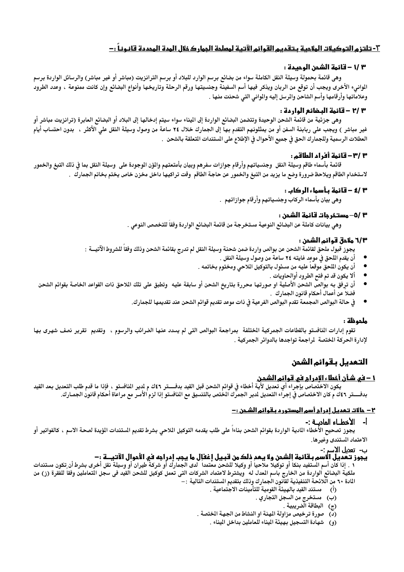# ٣- تلتزم التوكيلات الملاحية بـتقديم القوائم الآتية لمعلمة الجمار كخلال المدة المحددة قانـونـاً : –

## ٣ /١ – قائمة الشجن الوحيدة :

وهي قائمة بحمولة وسيلة النقل الكاملة سواء من بضائع برسم الوارد للبلاد أو برسم الترانزيت (مباشر أو غير مباشر) والرسائل الواردة برسم الموانيء الأخرى ويجب أن توقع من الربان ويذكر فيها أسم السفينة وجنسيتها ورقم الرحلة وتاريخها وأنواع البضائع وإن كانت ممنوعة ، وعدد الطرود وعلاماتها وأرقامها وأسم الشاحن والمرسل إليه والموانى التى شحنت منها .

## ٣ /٢ - قائمة البـضائم الواردة :

وهي جزئية من قائمة الشحن الوحيدة وتتضمن البضائع الواردة إلى اليناء سواء سيتم إدخالها إلى البلاد أو البضائع العابرة (ترانزيت مباشر أو غير مباشر ) ويجب على ربابنة السفن أو من يمثلونهم التقدم بها إلى الجمارك خلال ٢٤ ساعة من وصول وسيلة النقل على الأكثر ، بدون احتساب أيام العطلات الرسمية وللجمارك الحق في جميع الأحوال في الإطلاع على المستندات التعلقة بالشحن .

## 3 /3- قائمة أفراد الطاقم:

قائمة بأسماء طاقم وسيلة النقل وجنسياتهم وأرقام جوازات سفرهم وبيان بأمتعتهم والمؤن الوجودة على وسيلة النقل بما في ذلك التبغ والخمور لاستخدام الطاقم ويلاحظ ضرورة وضع ما يزيد من التبغ والخمور عن حاجة الطاقم وقت تراكيها داخل مخزن خاص يختم بخاتم الجمارك .

## ٣ /٤ – قائمة مأسماء الركام :

وهي بيان بأسماء الركاب وجنسياتهم وأرقام جوازاتهم .

## ٣ /٥– مستخرجات قائمة الشحن :

وهي بيانات كاملة عن البضائع النوعية مستخرجة من قائمة البضائع الواردة وفقا للتخصص النوعي .

# 1/٣ ملادق قوائم الشمن :

يجوز قبول ملحق لقائمة الشحن عن بوالص واردة ضمن شحنة وسيلة النقل لم تدرج بقائمة الشحن وذلك وفقا للشروط الآتيـــة :

- أن يقدم الملحق في موعد غايته ٢٤ ساعة من وصول وسيلة النقل .
- أن يكون اللحق موقعا عليه من مسئول بالتوكيل الملاحي ومختوم بخاتمه .
	- ألا يكون قد تم فتح الطرود أوالحاويات .
- أن ترفق به بوالص الشحن الأصلية او صورتها محررة بتاريخ الشحن أو سابقة عليه وتطبق على تلك الملاحق ذات القواعد الخاصة بقوائم الشحن فضلا عن أعمال أحكام قانون الجمارك .
	- في حالة البوالص المجمعة تقدم البوالص الفرعية في ذات موعد تقديم قوائم الشحن عند تقديمها للجمارك.

# ملحوظة :

تقوم إدارات المنافستو بالقطاعات الجمركية الختلفة بمراجعة البوالص التى لم يسدد عنها الضرائب والرسوم ، وتقديم تقرير نصف شهرى بها لإدارة الحركة الختصة لمراجعة تواجدها بالدوائر الجمركية .

# التعديل بقوائم الشحن

<mark>1 – في شـّأن أخطاء الإدرا<u>م</u> في قـوائم الشحـن.</mark><br>يكون الاختصاص بإجراء أي تعديل لأية أخطاء في قوائم الشحن قبل القيد بدفــــتر ٤٢ك م لدير النافستو ، فإذا ما قدم طلب التعديل بعد القيد بدفــــتر ٤٦٤ م كان الاختصاص في إجراء التعديل لدير الجمرك الختص بالتنسيق مع النافستو إذا لزم الأمـر مع مراعاة أحكام قانون الجمـارك.

# <u>٢- حالات تـعديل إدراج أسم المستورد بـقوائم الشـحن :-</u>

## أ- الأخطـاء المادــة :-

يجوز تصحيح الأخطاء المادية الواردة بقوائم الشحن بناءا على طلب يقدمه التوكيل الملاحى بشرط تقديم الستندات الؤيدة لصحة الاسم ، كالفواتير أو الاعتماد المستندى وغيرها.

# ب- تعديل الاسم :-

# يجوز تـعُديل الاسم بـقائمة إلشمن ولا يـعدِ ذلك من قبـيل إغفإل ما يـجب إدراجه في الأموال الآتيـــة :-

١ . إذا كان أسم المستفيد بنكا أو توكيلا ملاحيا أو وكيلا للشحن معتمدا ً لدى الجمارك أو شركة طيران أو وسيلة نقل أخرى بشرط أن تكون مستندات ملكية البضائع الواردة من الخارج باسم المدل له ۖ ويشترط لاعتماد الشركات التي تعمل كوكيل للشحن القيد في سجل التعاملين وفقاً للفقرة (ز) من المادة ٦٠ من اللائحة التنفيذية لقاّنون الجمارك وذلك بتقديم المستندات التالية : –

- (أ) مستند القيد بالهيئة القومية للتأمينات الاجتماعية .
	- (ب) مستخرج من السجل التجاري .
		- (ج) البطاقة الضريبية
- (د) صورة ترخيص مزاولة المهنة او النشاط من الجهة الختصة .
	- (و) شهادة التسجيل بهيئة الميناء للعاملين بداخل الميناء .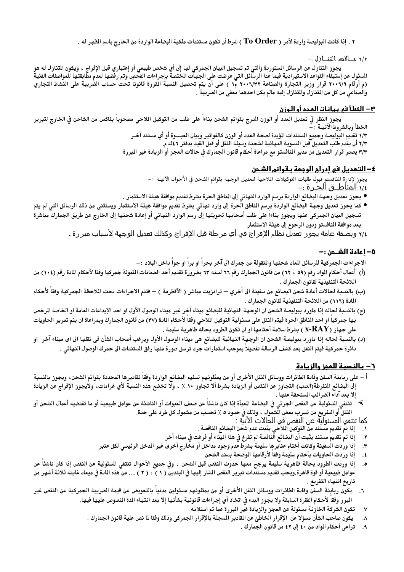٢ . إذا كانت البوليصة واردة لأمر ( To Order ) شرط أن تكون مستندات ملكية البضاعة الواردة من الخارج باسم الظهر له .

٢/٢ حــالات التنــازل --

يجوز التنازل عن الرسائل المستوردة والتي تم تسجيل البيان الجمركي لها إلى أي شخص طبيعي أو إعتباري قبل الإفراج ، ويكون التنازل له هو المسئول عن إستيفاء القواعد الاستيرادية فيما عدا الرسائل التي عرضت على الجهات الختصة بإجراءات الفحصِ وتم رفضها لعدم مطابقتها للمواصفات الفنية<br>المسئول عن إستيفاء القواعد الاستيرادية فيما عدا الرسائل التي عرضت على الجهات الخ (م أرقام ٢٠٠٦/٦ قرار وزير التجارة والصناعة ٢٠٠٦/٣٢ م(١ ) على أن يتم تحصيل النسبة القررة قانونا تحت حساب الضريبة على النشاط التجاري والصناعي من كل من التنازل والتنازل إليه مالم يكن احدهما معفى من الضريبة .

#### <u>٣ – الخطأ في بيانات المدد أو الوزن</u>

يجوز النظر في تعديل العدد أو الوزن الدرج بقوائم الشحن بناءاً على طلب من التوكيل اللاحي مصحوباً بفاكس من الشاحن في الخارج لتبرير الخطأ وبالشروط الآتيــة :

١/٣ تقديم البوليصة وجميع المستندات المؤيدة لصحة العدد أو الوزن كالفواتير وبيان العبسوة أو أي مستند آخـر

٢/٣ أن يقدم طلب التعديل قبل التسوية النهائية لشحنة وسيلة النقل أو قبل القيد بدفتر ٤٢ك م.

٣/٣ يصدر قرار التعديل من مدير المنافستو مع مراعاة أحكام قانون الجمارك في حالات العجز أو الزيادة غير المبررة

#### ٤- التحديل في إدرام الوجمة بـقوائم الشـمن

يجوز لإدارة النافستو قبول طلبات التوكيلات اللاحية لتعديل الوجهة بقوائم الشحن في الأحوال الآتيــة :— <u>٠/٤ المناطــق الحـر ة :-</u>

- يجوز تعديل وجهة البضائع الواردة برسم الوارد النهائى إلى المناطق الحرة بشرط تقديم موافقة هيئة الاستثمار .
- كما يجوز تعديل وجهة البضائع الواردة برسم الناطق الحرة إلى وارد نهائي بشرط تقديم موافقة هيئة الاستثمار ويستثنى من ذلك الرسائل التي لم يتم تسجيل البيان الجمركى عنها ويجوز بناءا على طلب أصحابها تحويلها إلى رسم الوارد النهائى أو إعادة شحنها إلى الخارج عن طريق الجمارك مباشرة بعد موافقة المنافستو ودون الرجوع إلى هيئة الاستثمار

<u>٢/٤ ويصفة عامة يجوز تعديل نظام الإفر اج في أي مر حلة قبل الإفر اج وكذلك تعديل الوجهة لأسياب مير ر ة .</u>

## <u>٥ – اعادة الشـحن : –</u>

الاجراءات الجمركية للرسائل الماد شحنها والنقولة من جمرك الى آخر بحرا او برا او جوا داخل البلاد : –

- (أ) أعمال أحكام المواد رقم (٥٩ ، ٦٢) من قانون الجمارك رقم ٦٦ لسنه ٦٣ بضرورة تقديم أحد الضمانات القبولة جمركيا وفقا لأحكام المادة رقم (١٠٤) من اللائحة التنفيذية لقانون الجمارك .
- (ب) بالنسبة لحالات أعادة شحن البضائع من سفينة الى آخري ترانزيت مباشر ( الآقطرمة ) فتتم الاجراءات تحت اللاحظة الجمركية وفقاً لأحكام المادة (١١٦) من اللائحة التنفيذية لقانون الجمارك .
- (ج) بالنسبة لحاله إذا ماورد ببوليصة الشحن ان الوجهة النهائية للبضائع ميناء آخر غير ميناء الوصول الأول او احد الإيداعات العامة او الخاصة الرخص بها جمركيا او احد الناطق الحرة فيتم النقل على مسئولية التوكيل الملاحي وفقا لأحكام المادة (٣٧) من قانون الجمارك وبمراعاة ان يتم تمرير الحاويات على جهاز X- ${\bf RAY}$  ) بشرط سلامة أختامها او ان تكون الطرود بحاله ظاهرية سليمة .
- (د) بالنسبة لحاله إذا ماورد ببوليصة الشحن ان الوجهة النهائية للبضائع هي ميناء الوصول الأول ويرغب أصحاب الشأن في نقلها الى اى ميناء آخر §او دائرة جمركية فيتم النقل بعد كشف الرسالة تفصيلا بموجب استمارات جرد ترسل صورة منها رفق المستندات الى جمرك الوصول النهائي .

## <u>٦– بالنسبة للعجز والزيادة</u>

- أ على ربابنة السفن وقادة الطائرات ووسائل النقل الأخرى أو من يمثلونهم تسليم البضائع الواردة وفقا لمقاديرها المحددة بقوائم الشحن، ويجوز بالنسبة إلى البضائع المفرطة(الصب) التجاوز عن النقص أو الزيادة بشرط ألا تجاوز ١٠ ٪ ، ولا تخضع هذه النسبة لأي غرامات، ولايجوز الإفراج عن الزيادة إلا بعد آداء الضرائب المستحقة عنها .
- ≫ تنتفى المسئولية عن النقص الجزئى في البضاعة المبأة إذا كان ناشئاً عن ضعف العبوات أو الناشئة عن عوامل طبيعية أو ما تقتضيه أعمال الشحن أو النقلُّ أو التفريغ من تسرب بعض الَّشمول ، وذلك في حدود ٥ ٪ تحسب من مشمول كل طرد على حدة.
	- كما تنتفي المسئولية عن النقص في الحالات الاتيّة :
	- إذا تم تقديم مستند من التوكيل الملاحي يثبت عدم شحن البضائع الناقصة .  $\cdot$
	- إذا تم تقديم مستند يثبت أن البضائع الناقصة لم تفرغ في هذا الميناء أو فرغت في ميناء أخر  $\boldsymbol{\cdot}$
	- $\cdot$ ۳ إذا وردت السفينة وكانت أختام عنابرها سليمة بشرط عدم وجود مداخل أو مخارج أخرى غير الدخل الرئيسي لكل عنبر
		- إذا وردت الحاويات بأختام سليمة وفقا لأرقامها الموضحة بسند الشحن  $\cdot$  :
- إذا وردت الطرود بحالة ظاهرية سليمة يرجح معها حدوث النقص قبل الشحن ، وفي جميع الأحوال تنتفي السئولية عن النقص إذا كان ناشئا عن  $\cdot$ عوامل طبيعية أو قوة قاهرة.ويجب تقديم مستندات تبرير النقص الشار إليها في البندين ( ١ ) ، ( ٢ ) … من هذه المادة في ميعاد غايته ثلاثة أشهر من تاريخ انتهاء التفريغ .
- يكون ربابنة السفن وقادة الطائرات ووسائل النقل الأخرى أو من يمثلونهم مسئولين مدنيا بالتعويض عن قيمة الضريبة الجمركية عن النقص غير  $\mathcal{L}$ البرر وفقا لأحكام الفقرة السابقة ولا يجوز البدء فى اتخاذ أي إجراءات قانونية بشأنها إلا بعد انتهاء الدة النصوص عليها فيها.
	- تكون الشركة الخازنة مسئولة عن العجز والزيادة غير البررة عما تم استلامه.  $\cdot$ v
	- يكون صاحب الشأن مسؤلا عن الإقرار الخاطئ عن القادير المسجلة بالإقرار الجمركي وذلك وفقا لما نص علية قانون الجمارك .  $\Lambda$ 
		- تراعي أحكام المواد من ٤٠ إلى ٤٢ من قانون الجمارك .  $\overline{\mathbf{a}}$